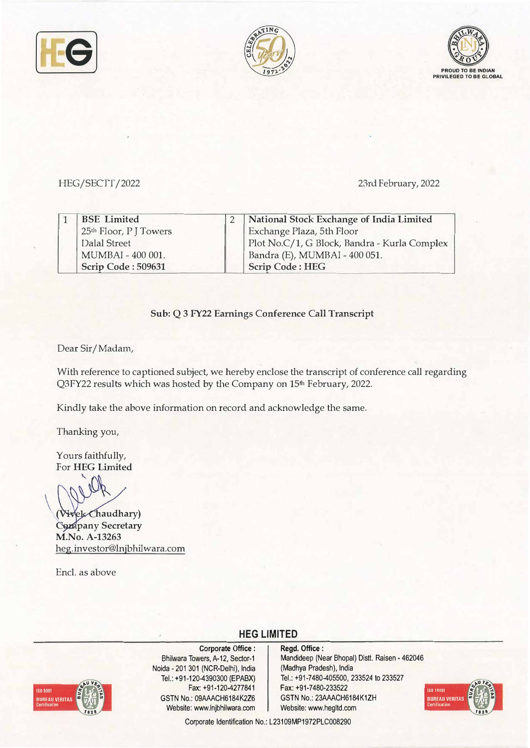





# HEG/SECTT/2022 23rd February, 2022

| <b>BSE</b> Limited                 | National Stock Exchange of India Limited     |
|------------------------------------|----------------------------------------------|
| 25 <sup>th</sup> Floor, P J Towers | Exchange Plaza, 5th Floor                    |
| Dalal Street                       | Plot No.C/1, G Block, Bandra - Kurla Complex |
| MUMBAI - 400 001.                  | Bandra (E), MUMBAI - 400 051.                |
| Scrip Code: 509631                 | <b>Scrip Code: HEG</b>                       |

### **Sub: Q 3 FY22 Earnings Conference Call Transcript**

Dear Sir/ Madam,

With reference to captioned subject, we hereby enclose the transcript of conference call regarding Q3FY22 results which was hosted by the Company on 15<sup>th</sup> February, 2022.

Kindly take the above information on record and acknowledge the same.

Thanking you,

Yours faithfully, For **HEG Limited** 

 $\ddot{\phantom{1}}$ 

**haudhary) pany Secretary M.No. A-13263** heg.investor@lnjbhilwara.com

Encl. as above

# **HEG LIMITED**



**Corporate Office :**  Bhilwara Towers, A-12, Sector-1 Naida -201 301 (NCR-Delhi), India Tel.: +91-120-4390300 (EPABX) Fax: +91-120-4277841 GSTN No.: 09AAACH6184K226 Website: www.lnjbhilwara.com Website: www.hegltd.com

**Regd. Office :**  Mandideep (Near Bhopal) Dist!. Raisen - <sup>462046</sup> ( Madhya Pradesh), India Tel.: +91-7480-405500, 233524 to 233527 Fax: +91-7480-233522 GSTN No.: 23AAACH6184K1ZH



Corporate Identification No.: L23109MP1972PLC008290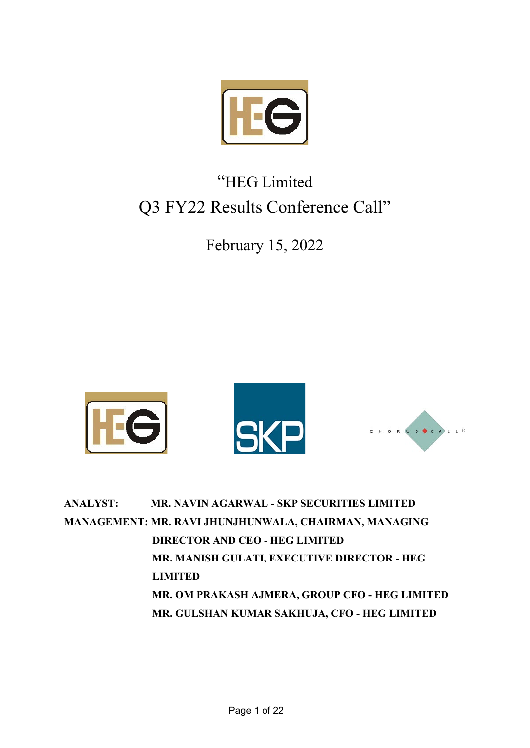

# "HEG Limited Q3 FY22 Results Conference Call"

February 15, 2022



| <b>ANALYST:</b> | <b>MR. NAVIN AGARWAL - SKP SECURITIES LIMITED</b>     |
|-----------------|-------------------------------------------------------|
|                 | MANAGEMENT: MR. RAVI JHUNJHUNWALA, CHAIRMAN, MANAGING |
|                 | <b>DIRECTOR AND CEO - HEG LIMITED</b>                 |
|                 | MR. MANISH GULATI, EXECUTIVE DIRECTOR - HEG           |
|                 | <b>LIMITED</b>                                        |
|                 | MR. OM PRAKASH AJMERA, GROUP CFO - HEG LIMITED        |
|                 | MR. GULSHAN KUMAR SAKHUJA, CFO - HEG LIMITED          |
|                 |                                                       |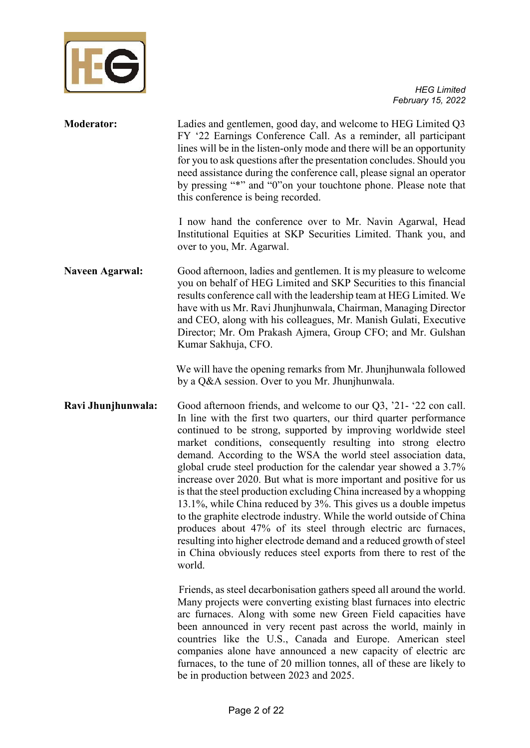

| <b>Moderator:</b>      | Ladies and gentlemen, good day, and welcome to HEG Limited Q3<br>FY '22 Earnings Conference Call. As a reminder, all participant<br>lines will be in the listen-only mode and there will be an opportunity<br>for you to ask questions after the presentation concludes. Should you<br>need assistance during the conference call, please signal an operator<br>by pressing "*" and "0"on your touchtone phone. Please note that<br>this conference is being recorded.                                                                                                                                                                                                                                                                                                                                                                                                                                                                   |
|------------------------|------------------------------------------------------------------------------------------------------------------------------------------------------------------------------------------------------------------------------------------------------------------------------------------------------------------------------------------------------------------------------------------------------------------------------------------------------------------------------------------------------------------------------------------------------------------------------------------------------------------------------------------------------------------------------------------------------------------------------------------------------------------------------------------------------------------------------------------------------------------------------------------------------------------------------------------|
|                        | I now hand the conference over to Mr. Navin Agarwal, Head<br>Institutional Equities at SKP Securities Limited. Thank you, and<br>over to you, Mr. Agarwal.                                                                                                                                                                                                                                                                                                                                                                                                                                                                                                                                                                                                                                                                                                                                                                               |
| <b>Naveen Agarwal:</b> | Good afternoon, ladies and gentlemen. It is my pleasure to welcome<br>you on behalf of HEG Limited and SKP Securities to this financial<br>results conference call with the leadership team at HEG Limited. We<br>have with us Mr. Ravi Jhunjhunwala, Chairman, Managing Director<br>and CEO, along with his colleagues, Mr. Manish Gulati, Executive<br>Director; Mr. Om Prakash Ajmera, Group CFO; and Mr. Gulshan<br>Kumar Sakhuja, CFO.                                                                                                                                                                                                                                                                                                                                                                                                                                                                                              |
|                        | We will have the opening remarks from Mr. Jhunjhunwala followed<br>by a Q&A session. Over to you Mr. Jhunjhunwala.                                                                                                                                                                                                                                                                                                                                                                                                                                                                                                                                                                                                                                                                                                                                                                                                                       |
| Ravi Jhunjhunwala:     | Good afternoon friends, and welcome to our $Q3$ , '21- '22 con call.<br>In line with the first two quarters, our third quarter performance<br>continued to be strong, supported by improving worldwide steel<br>market conditions, consequently resulting into strong electro<br>demand. According to the WSA the world steel association data,<br>global crude steel production for the calendar year showed a 3.7%<br>increase over 2020. But what is more important and positive for us<br>is that the steel production excluding China increased by a whopping<br>13.1%, while China reduced by 3%. This gives us a double impetus<br>to the graphite electrode industry. While the world outside of China<br>produces about 47% of its steel through electric arc furnaces,<br>resulting into higher electrode demand and a reduced growth of steel<br>in China obviously reduces steel exports from there to rest of the<br>world. |
|                        | Friends, as steel decarbonisation gathers speed all around the world.<br>Many projects were converting existing blast furnaces into electric<br>arc furnaces. Along with some new Green Field capacities have<br>been announced in very recent past across the world, mainly in<br>countries like the U.S., Canada and Europe. American steel<br>companies alone have announced a new capacity of electric arc<br>furnaces, to the tune of 20 million tonnes, all of these are likely to<br>be in production between 2023 and 2025.                                                                                                                                                                                                                                                                                                                                                                                                      |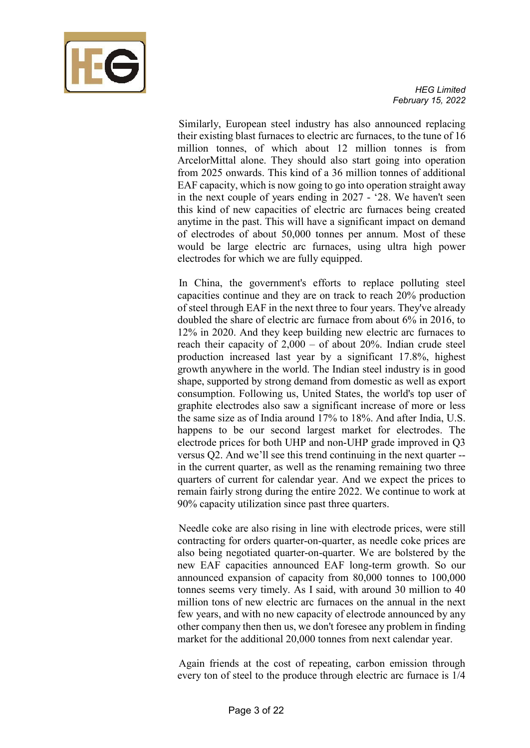

 Similarly, European steel industry has also announced replacing their existing blast furnaces to electric arc furnaces, to the tune of 16 million tonnes, of which about 12 million tonnes is from ArcelorMittal alone. They should also start going into operation from 2025 onwards. This kind of a 36 million tonnes of additional EAF capacity, which is now going to go into operation straight away in the next couple of years ending in 2027 - '28. We haven't seen this kind of new capacities of electric arc furnaces being created anytime in the past. This will have a significant impact on demand of electrodes of about 50,000 tonnes per annum. Most of these would be large electric arc furnaces, using ultra high power electrodes for which we are fully equipped.

 In China, the government's efforts to replace polluting steel capacities continue and they are on track to reach 20% production of steel through EAF in the next three to four years. They've already doubled the share of electric arc furnace from about 6% in 2016, to 12% in 2020. And they keep building new electric arc furnaces to reach their capacity of 2,000 – of about 20%. Indian crude steel production increased last year by a significant 17.8%, highest growth anywhere in the world. The Indian steel industry is in good shape, supported by strong demand from domestic as well as export consumption. Following us, United States, the world's top user of graphite electrodes also saw a significant increase of more or less the same size as of India around 17% to 18%. And after India, U.S. happens to be our second largest market for electrodes. The electrode prices for both UHP and non-UHP grade improved in Q3 versus Q2. And we'll see this trend continuing in the next quarter - in the current quarter, as well as the renaming remaining two three quarters of current for calendar year. And we expect the prices to remain fairly strong during the entire 2022. We continue to work at 90% capacity utilization since past three quarters.

 Needle coke are also rising in line with electrode prices, were still contracting for orders quarter-on-quarter, as needle coke prices are also being negotiated quarter-on-quarter. We are bolstered by the new EAF capacities announced EAF long-term growth. So our announced expansion of capacity from 80,000 tonnes to 100,000 tonnes seems very timely. As I said, with around 30 million to 40 million tons of new electric arc furnaces on the annual in the next few years, and with no new capacity of electrode announced by any other company then then us, we don't foresee any problem in finding market for the additional 20,000 tonnes from next calendar year.

 Again friends at the cost of repeating, carbon emission through every ton of steel to the produce through electric arc furnace is 1/4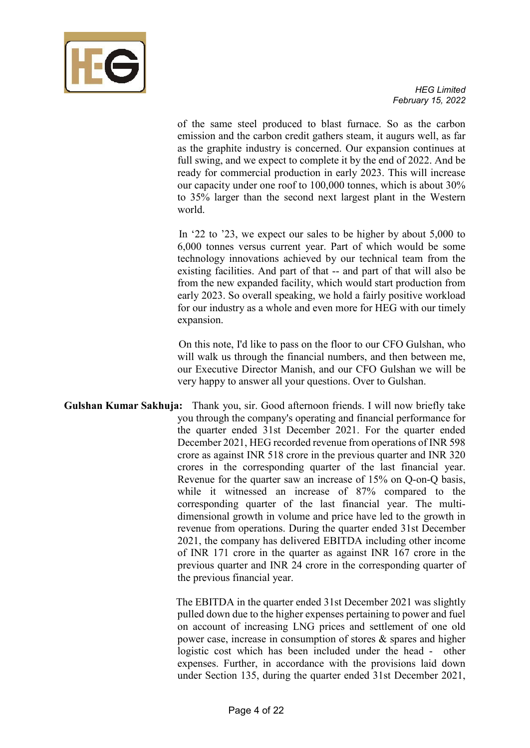

of the same steel produced to blast furnace. So as the carbon emission and the carbon credit gathers steam, it augurs well, as far as the graphite industry is concerned. Our expansion continues at full swing, and we expect to complete it by the end of 2022. And be ready for commercial production in early 2023. This will increase our capacity under one roof to 100,000 tonnes, which is about 30% to 35% larger than the second next largest plant in the Western world.

 In '22 to '23, we expect our sales to be higher by about 5,000 to 6,000 tonnes versus current year. Part of which would be some technology innovations achieved by our technical team from the existing facilities. And part of that -- and part of that will also be from the new expanded facility, which would start production from early 2023. So overall speaking, we hold a fairly positive workload for our industry as a whole and even more for HEG with our timely expansion.

 On this note, I'd like to pass on the floor to our CFO Gulshan, who will walk us through the financial numbers, and then between me, our Executive Director Manish, and our CFO Gulshan we will be very happy to answer all your questions. Over to Gulshan.

**Gulshan Kumar Sakhuja:** Thank you, sir. Good afternoon friends. I will now briefly take you through the company's operating and financial performance for the quarter ended 31st December 2021. For the quarter ended December 2021, HEG recorded revenue from operations of INR 598 crore as against INR 518 crore in the previous quarter and INR 320 crores in the corresponding quarter of the last financial year. Revenue for the quarter saw an increase of 15% on Q-on-Q basis, while it witnessed an increase of 87% compared to the corresponding quarter of the last financial year. The multidimensional growth in volume and price have led to the growth in revenue from operations. During the quarter ended 31st December 2021, the company has delivered EBITDA including other income of INR 171 crore in the quarter as against INR 167 crore in the previous quarter and INR 24 crore in the corresponding quarter of the previous financial year.

> The EBITDA in the quarter ended 31st December 2021 was slightly pulled down due to the higher expenses pertaining to power and fuel on account of increasing LNG prices and settlement of one old power case, increase in consumption of stores & spares and higher logistic cost which has been included under the head - other expenses. Further, in accordance with the provisions laid down under Section 135, during the quarter ended 31st December 2021,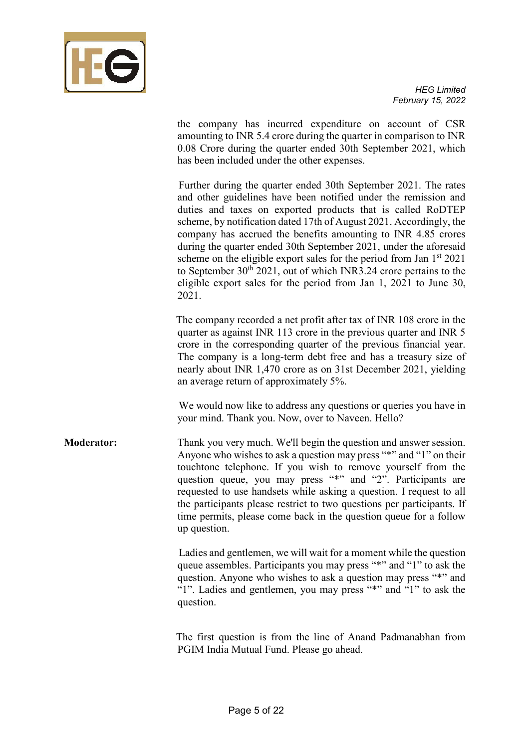

the company has incurred expenditure on account of CSR amounting to INR 5.4 crore during the quarter in comparison to INR 0.08 Crore during the quarter ended 30th September 2021, which has been included under the other expenses.

 Further during the quarter ended 30th September 2021. The rates and other guidelines have been notified under the remission and duties and taxes on exported products that is called RoDTEP scheme, by notification dated 17th of August 2021. Accordingly, the company has accrued the benefits amounting to INR 4.85 crores during the quarter ended 30th September 2021, under the aforesaid scheme on the eligible export sales for the period from Jan  $1<sup>st</sup> 2021$ to September  $30<sup>th</sup> 2021$ , out of which INR3.24 crore pertains to the eligible export sales for the period from Jan 1, 2021 to June 30, 2021.

 The company recorded a net profit after tax of INR 108 crore in the quarter as against INR 113 crore in the previous quarter and INR 5 crore in the corresponding quarter of the previous financial year. The company is a long-term debt free and has a treasury size of nearly about INR 1,470 crore as on 31st December 2021, yielding an average return of approximately 5%.

We would now like to address any questions or queries you have in your mind. Thank you. Now, over to Naveen. Hello?

**Moderator:** Thank you very much. We'll begin the question and answer session. Anyone who wishes to ask a question may press "\*" and "1" on their touchtone telephone. If you wish to remove yourself from the question queue, you may press "\*" and "2". Participants are requested to use handsets while asking a question. I request to all the participants please restrict to two questions per participants. If time permits, please come back in the question queue for a follow up question.

> Ladies and gentlemen, we will wait for a moment while the question queue assembles. Participants you may press "\*" and "1" to ask the question. Anyone who wishes to ask a question may press "\*" and "1". Ladies and gentlemen, you may press "\*" and "1" to ask the question.

> The first question is from the line of Anand Padmanabhan from PGIM India Mutual Fund. Please go ahead.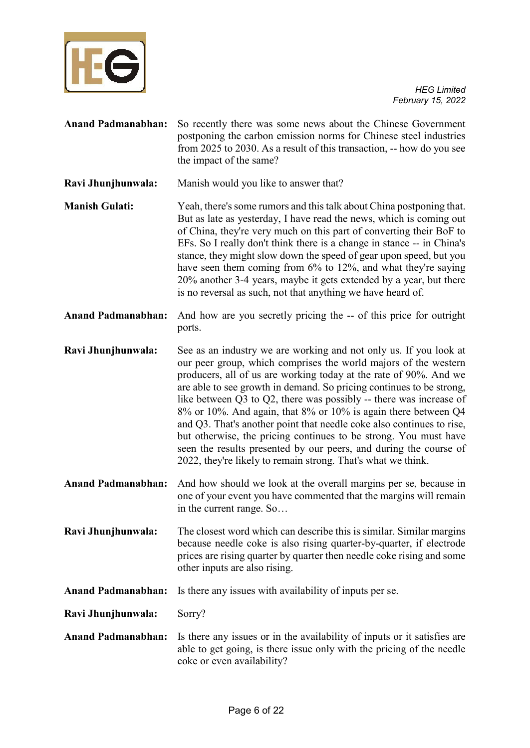

| <b>Anand Padmanabhan:</b> | So recently there was some news about the Chinese Government<br>postponing the carbon emission norms for Chinese steel industries<br>from 2025 to 2030. As a result of this transaction, -- how do you see<br>the impact of the same?                                                                                                                                                                                                                                                                                                                                                                                                                                                                            |
|---------------------------|------------------------------------------------------------------------------------------------------------------------------------------------------------------------------------------------------------------------------------------------------------------------------------------------------------------------------------------------------------------------------------------------------------------------------------------------------------------------------------------------------------------------------------------------------------------------------------------------------------------------------------------------------------------------------------------------------------------|
| Ravi Jhunjhunwala:        | Manish would you like to answer that?                                                                                                                                                                                                                                                                                                                                                                                                                                                                                                                                                                                                                                                                            |
| <b>Manish Gulati:</b>     | Yeah, there's some rumors and this talk about China postponing that.<br>But as late as yesterday, I have read the news, which is coming out<br>of China, they're very much on this part of converting their BoF to<br>EFs. So I really don't think there is a change in stance -- in China's<br>stance, they might slow down the speed of gear upon speed, but you<br>have seen them coming from 6% to 12%, and what they're saying<br>20% another 3-4 years, maybe it gets extended by a year, but there<br>is no reversal as such, not that anything we have heard of.                                                                                                                                         |
| <b>Anand Padmanabhan:</b> | And how are you secretly pricing the -- of this price for outright<br>ports.                                                                                                                                                                                                                                                                                                                                                                                                                                                                                                                                                                                                                                     |
| Ravi Jhunjhunwala:        | See as an industry we are working and not only us. If you look at<br>our peer group, which comprises the world majors of the western<br>producers, all of us are working today at the rate of 90%. And we<br>are able to see growth in demand. So pricing continues to be strong,<br>like between $Q3$ to $Q2$ , there was possibly -- there was increase of<br>8% or 10%. And again, that 8% or 10% is again there between Q4<br>and Q3. That's another point that needle coke also continues to rise,<br>but otherwise, the pricing continues to be strong. You must have<br>seen the results presented by our peers, and during the course of<br>2022, they're likely to remain strong. That's what we think. |
| <b>Anand Padmanabhan:</b> | And how should we look at the overall margins per se, because in<br>one of your event you have commented that the margins will remain<br>in the current range. So                                                                                                                                                                                                                                                                                                                                                                                                                                                                                                                                                |
| Ravi Jhunjhunwala:        | The closest word which can describe this is similar. Similar margins<br>because needle coke is also rising quarter-by-quarter, if electrode<br>prices are rising quarter by quarter then needle coke rising and some<br>other inputs are also rising.                                                                                                                                                                                                                                                                                                                                                                                                                                                            |
| <b>Anand Padmanabhan:</b> | Is there any issues with availability of inputs per se.                                                                                                                                                                                                                                                                                                                                                                                                                                                                                                                                                                                                                                                          |
| Ravi Jhunjhunwala:        | Sorry?                                                                                                                                                                                                                                                                                                                                                                                                                                                                                                                                                                                                                                                                                                           |
| <b>Anand Padmanabhan:</b> | Is there any issues or in the availability of inputs or it satisfies are<br>able to get going, is there issue only with the pricing of the needle<br>coke or even availability?                                                                                                                                                                                                                                                                                                                                                                                                                                                                                                                                  |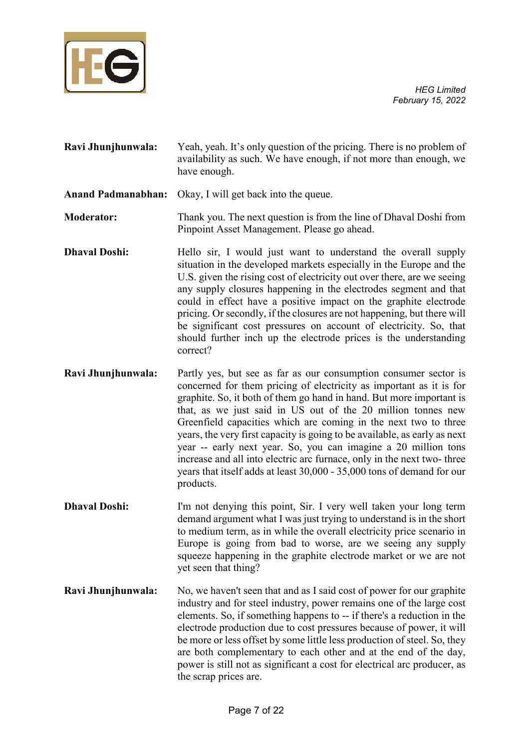

| Ravi Jhunjhunwala: | Yeah, yeah. It's only question of the pricing. There is no problem of |
|--------------------|-----------------------------------------------------------------------|
|                    | availability as such. We have enough, if not more than enough, we     |
|                    | have enough.                                                          |

**Anand Padmanabhan:** Okay, I will get back into the queue.

**Moderator:** Thank you. The next question is from the line of Dhaval Doshi from Pinpoint Asset Management. Please go ahead.

- **Dhaval Doshi:** Hello sir, I would just want to understand the overall supply situation in the developed markets especially in the Europe and the U.S. given the rising cost of electricity out over there, are we seeing any supply closures happening in the electrodes segment and that could in effect have a positive impact on the graphite electrode pricing. Or secondly, if the closures are not happening, but there will be significant cost pressures on account of electricity. So, that should further inch up the electrode prices is the understanding correct?
- **Ravi Jhunjhunwala:** Partly yes, but see as far as our consumption consumer sector is concerned for them pricing of electricity as important as it is for graphite. So, it both of them go hand in hand. But more important is that, as we just said in US out of the 20 million tonnes new Greenfield capacities which are coming in the next two to three years, the very first capacity is going to be available, as early as next year -- early next year. So, you can imagine a 20 million tons increase and all into electric arc furnace, only in the next two- three years that itself adds at least 30,000 - 35,000 tons of demand for our products.
- **Dhaval Doshi:** I'm not denying this point, Sir. I very well taken your long term demand argument what I was just trying to understand is in the short to medium term, as in while the overall electricity price scenario in Europe is going from bad to worse, are we seeing any supply squeeze happening in the graphite electrode market or we are not yet seen that thing?
- **Ravi Jhunjhunwala:** No, we haven't seen that and as I said cost of power for our graphite industry and for steel industry, power remains one of the large cost elements. So, if something happens to -- if there's a reduction in the electrode production due to cost pressures because of power, it will be more or less offset by some little less production of steel. So, they are both complementary to each other and at the end of the day, power is still not as significant a cost for electrical arc producer, as the scrap prices are.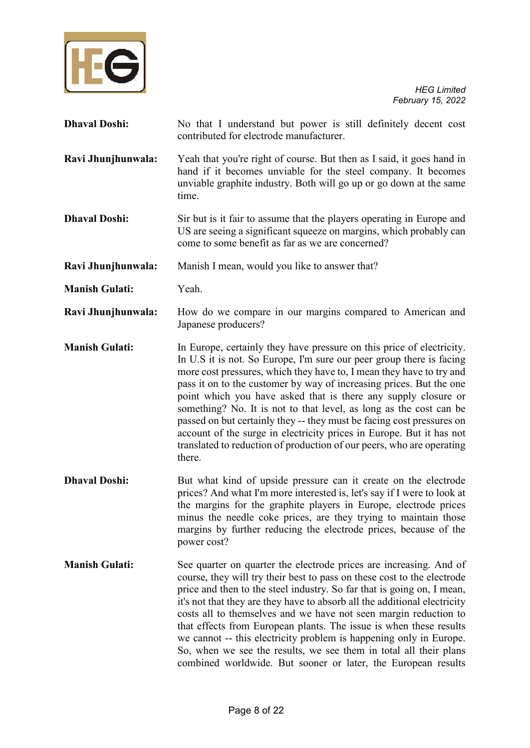

| <b>Dhaval Doshi:</b>  | No that I understand but power is still definitely decent cost<br>contributed for electrode manufacturer.                                                                                                                                                                                                                                                                                                                                                                                                                                                                                                                                                                |
|-----------------------|--------------------------------------------------------------------------------------------------------------------------------------------------------------------------------------------------------------------------------------------------------------------------------------------------------------------------------------------------------------------------------------------------------------------------------------------------------------------------------------------------------------------------------------------------------------------------------------------------------------------------------------------------------------------------|
| Ravi Jhunjhunwala:    | Yeah that you're right of course. But then as I said, it goes hand in<br>hand if it becomes unviable for the steel company. It becomes<br>unviable graphite industry. Both will go up or go down at the same<br>time.                                                                                                                                                                                                                                                                                                                                                                                                                                                    |
| <b>Dhaval Doshi:</b>  | Sir but is it fair to assume that the players operating in Europe and<br>US are seeing a significant squeeze on margins, which probably can<br>come to some benefit as far as we are concerned?                                                                                                                                                                                                                                                                                                                                                                                                                                                                          |
| Ravi Jhunjhunwala:    | Manish I mean, would you like to answer that?                                                                                                                                                                                                                                                                                                                                                                                                                                                                                                                                                                                                                            |
| <b>Manish Gulati:</b> | Yeah.                                                                                                                                                                                                                                                                                                                                                                                                                                                                                                                                                                                                                                                                    |
| Ravi Jhunjhunwala:    | How do we compare in our margins compared to American and<br>Japanese producers?                                                                                                                                                                                                                                                                                                                                                                                                                                                                                                                                                                                         |
| <b>Manish Gulati:</b> | In Europe, certainly they have pressure on this price of electricity.<br>In U.S it is not. So Europe, I'm sure our peer group there is facing<br>more cost pressures, which they have to, I mean they have to try and<br>pass it on to the customer by way of increasing prices. But the one<br>point which you have asked that is there any supply closure or<br>something? No. It is not to that level, as long as the cost can be<br>passed on but certainly they -- they must be facing cost pressures on<br>account of the surge in electricity prices in Europe. But it has not<br>translated to reduction of production of our peers, who are operating<br>there. |
| <b>Dhaval Doshi:</b>  | But what kind of upside pressure can it create on the electrode<br>prices? And what I'm more interested is, let's say if I were to look at<br>the margins for the graphite players in Europe, electrode prices<br>minus the needle coke prices, are they trying to maintain those<br>margins by further reducing the electrode prices, because of the<br>power cost?                                                                                                                                                                                                                                                                                                     |
| <b>Manish Gulati:</b> | See quarter on quarter the electrode prices are increasing. And of<br>course, they will try their best to pass on these cost to the electrode<br>price and then to the steel industry. So far that is going on, I mean,<br>it's not that they are they have to absorb all the additional electricity<br>costs all to themselves and we have not seen margin reduction to<br>that effects from European plants. The issue is when these results<br>we cannot -- this electricity problem is happening only in Europe.<br>So, when we see the results, we see them in total all their plans<br>combined worldwide. But sooner or later, the European results               |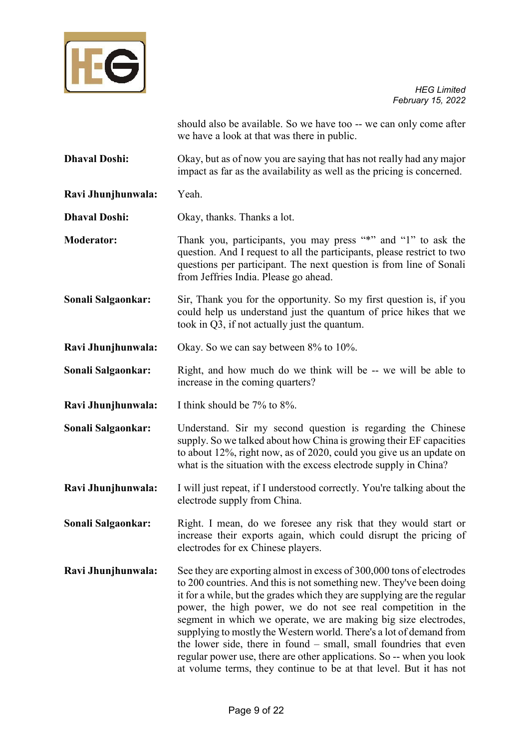

should also be available. So we have too -- we can only come after we have a look at that was there in public.

- **Dhaval Doshi:** Okay, but as of now you are saying that has not really had any major impact as far as the availability as well as the pricing is concerned.
- **Ravi Jhunjhunwala:** Yeah.

**Dhaval Doshi:** Okay, thanks. Thanks a lot.

- **Moderator:** Thank you, participants, you may press "\*" and "1" to ask the question. And I request to all the participants, please restrict to two questions per participant. The next question is from line of Sonali from Jeffries India. Please go ahead.
- **Sonali Salgaonkar:** Sir, Thank you for the opportunity. So my first question is, if you could help us understand just the quantum of price hikes that we took in Q3, if not actually just the quantum.
- **Ravi Jhunjhunwala:** Okay. So we can say between 8% to 10%.
- **Sonali Salgaonkar:** Right, and how much do we think will be -- we will be able to increase in the coming quarters?
- **Ravi Jhunjhunwala:** I think should be 7% to 8%.
- **Sonali Salgaonkar:** Understand. Sir my second question is regarding the Chinese supply. So we talked about how China is growing their EF capacities to about 12%, right now, as of 2020, could you give us an update on what is the situation with the excess electrode supply in China?
- **Ravi Jhunjhunwala:** I will just repeat, if I understood correctly. You're talking about the electrode supply from China.
- **Sonali Salgaonkar:** Right. I mean, do we foresee any risk that they would start or increase their exports again, which could disrupt the pricing of electrodes for ex Chinese players.
- **Ravi Jhunjhunwala:** See they are exporting almost in excess of 300,000 tons of electrodes to 200 countries. And this is not something new. They've been doing it for a while, but the grades which they are supplying are the regular power, the high power, we do not see real competition in the segment in which we operate, we are making big size electrodes, supplying to mostly the Western world. There's a lot of demand from the lower side, there in found – small, small foundries that even regular power use, there are other applications. So -- when you look at volume terms, they continue to be at that level. But it has not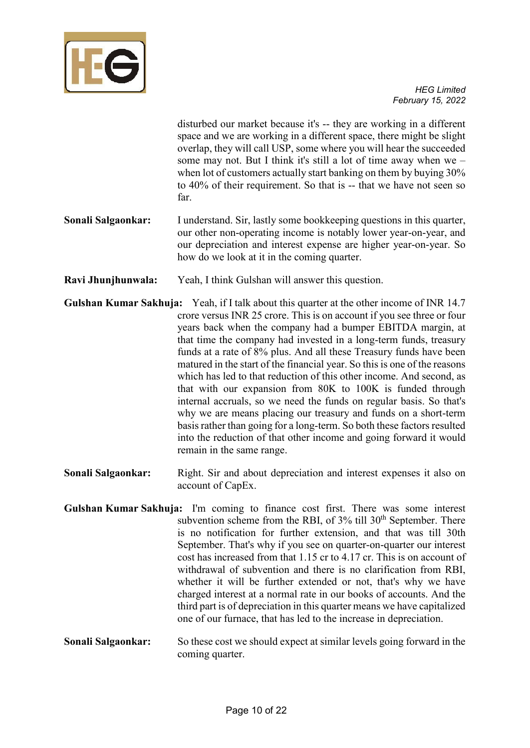

disturbed our market because it's -- they are working in a different space and we are working in a different space, there might be slight overlap, they will call USP, some where you will hear the succeeded some may not. But I think it's still a lot of time away when we – when lot of customers actually start banking on them by buying 30% to 40% of their requirement. So that is -- that we have not seen so far.

- **Sonali Salgaonkar:** I understand. Sir, lastly some bookkeeping questions in this quarter, our other non-operating income is notably lower year-on-year, and our depreciation and interest expense are higher year-on-year. So how do we look at it in the coming quarter.
- **Ravi Jhunjhunwala:** Yeah, I think Gulshan will answer this question.
- **Gulshan Kumar Sakhuja:** Yeah, if I talk about this quarter at the other income of INR 14.7 crore versus INR 25 crore. This is on account if you see three or four years back when the company had a bumper EBITDA margin, at that time the company had invested in a long-term funds, treasury funds at a rate of 8% plus. And all these Treasury funds have been matured in the start of the financial year. So this is one of the reasons which has led to that reduction of this other income. And second, as that with our expansion from 80K to 100K is funded through internal accruals, so we need the funds on regular basis. So that's why we are means placing our treasury and funds on a short-term basis rather than going for a long-term. So both these factors resulted into the reduction of that other income and going forward it would remain in the same range.
- **Sonali Salgaonkar:** Right. Sir and about depreciation and interest expenses it also on account of CapEx.
- **Gulshan Kumar Sakhuja:** I'm coming to finance cost first. There was some interest subvention scheme from the RBI, of  $3\%$  till  $30<sup>th</sup>$  September. There is no notification for further extension, and that was till 30th September. That's why if you see on quarter-on-quarter our interest cost has increased from that 1.15 cr to 4.17 cr. This is on account of withdrawal of subvention and there is no clarification from RBI, whether it will be further extended or not, that's why we have charged interest at a normal rate in our books of accounts. And the third part is of depreciation in this quarter means we have capitalized one of our furnace, that has led to the increase in depreciation.
- **Sonali Salgaonkar:** So these cost we should expect at similar levels going forward in the coming quarter.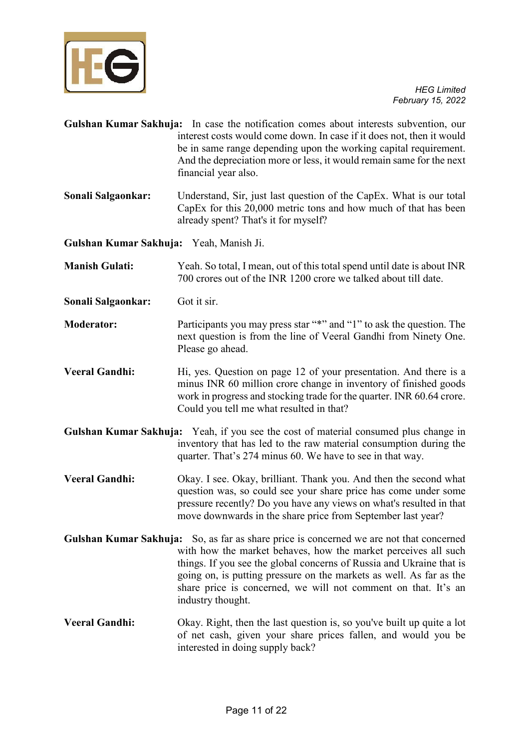

**Gulshan Kumar Sakhuja:** In case the notification comes about interests subvention, our interest costs would come down. In case if it does not, then it would be in same range depending upon the working capital requirement. And the depreciation more or less, it would remain same for the next financial year also. **Sonali Salgaonkar:** Understand, Sir, just last question of the CapEx. What is our total CapEx for this 20,000 metric tons and how much of that has been already spent? That's it for myself? **Gulshan Kumar Sakhuja:** Yeah, Manish Ji. **Manish Gulati:** Yeah. So total, I mean, out of this total spend until date is about INR 700 crores out of the INR 1200 crore we talked about till date. **Sonali Salgaonkar:** Got it sir. **Moderator:** Participants you may press star "\*" and "1" to ask the question. The next question is from the line of Veeral Gandhi from Ninety One. Please go ahead. **Veeral Gandhi:** Hi, yes. Question on page 12 of your presentation. And there is a minus INR 60 million crore change in inventory of finished goods work in progress and stocking trade for the quarter. INR 60.64 crore. Could you tell me what resulted in that? **Gulshan Kumar Sakhuja:** Yeah, if you see the cost of material consumed plus change in inventory that has led to the raw material consumption during the quarter. That's 274 minus 60. We have to see in that way. **Veeral Gandhi:** Okay. I see. Okay, brilliant. Thank you. And then the second what question was, so could see your share price has come under some pressure recently? Do you have any views on what's resulted in that move downwards in the share price from September last year? **Gulshan Kumar Sakhuja:** So, as far as share price is concerned we are not that concerned with how the market behaves, how the market perceives all such things. If you see the global concerns of Russia and Ukraine that is going on, is putting pressure on the markets as well. As far as the share price is concerned, we will not comment on that. It's an industry thought. **Veeral Gandhi:** Okay. Right, then the last question is, so you've built up quite a lot of net cash, given your share prices fallen, and would you be interested in doing supply back?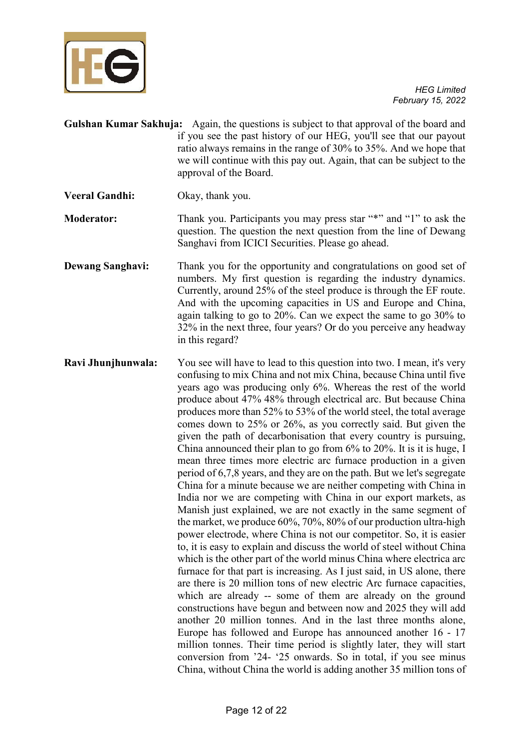

- **Gulshan Kumar Sakhuja:** Again, the questions is subject to that approval of the board and if you see the past history of our HEG, you'll see that our payout ratio always remains in the range of 30% to 35%. And we hope that we will continue with this pay out. Again, that can be subject to the approval of the Board.
- **Veeral Gandhi:** Okay, thank you.
- **Moderator:** Thank you. Participants you may press star "\*" and "1" to ask the question. The question the next question from the line of Dewang Sanghavi from ICICI Securities. Please go ahead.
- **Dewang Sanghavi:** Thank you for the opportunity and congratulations on good set of numbers. My first question is regarding the industry dynamics. Currently, around 25% of the steel produce is through the EF route. And with the upcoming capacities in US and Europe and China, again talking to go to 20%. Can we expect the same to go 30% to 32% in the next three, four years? Or do you perceive any headway in this regard?
- **Ravi Jhunjhunwala:** You see will have to lead to this question into two. I mean, it's very confusing to mix China and not mix China, because China until five years ago was producing only 6%. Whereas the rest of the world produce about 47% 48% through electrical arc. But because China produces more than 52% to 53% of the world steel, the total average comes down to 25% or 26%, as you correctly said. But given the given the path of decarbonisation that every country is pursuing, China announced their plan to go from 6% to 20%. It is it is huge, I mean three times more electric arc furnace production in a given period of 6,7,8 years, and they are on the path. But we let's segregate China for a minute because we are neither competing with China in India nor we are competing with China in our export markets, as Manish just explained, we are not exactly in the same segment of the market, we produce 60%, 70%, 80% of our production ultra-high power electrode, where China is not our competitor. So, it is easier to, it is easy to explain and discuss the world of steel without China which is the other part of the world minus China where electrica arc furnace for that part is increasing. As I just said, in US alone, there are there is 20 million tons of new electric Arc furnace capacities, which are already -- some of them are already on the ground constructions have begun and between now and 2025 they will add another 20 million tonnes. And in the last three months alone, Europe has followed and Europe has announced another 16 - 17 million tonnes. Their time period is slightly later, they will start conversion from '24- '25 onwards. So in total, if you see minus China, without China the world is adding another 35 million tons of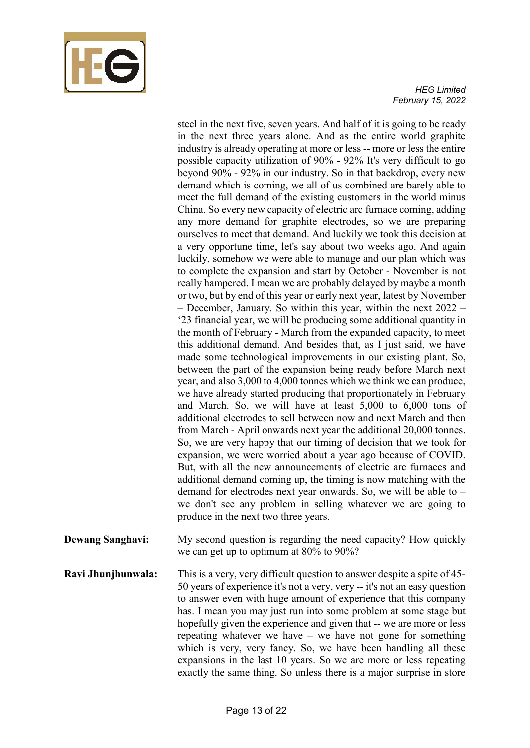

steel in the next five, seven years. And half of it is going to be ready in the next three years alone. And as the entire world graphite industry is already operating at more or less -- more or less the entire possible capacity utilization of 90% - 92% It's very difficult to go beyond 90% - 92% in our industry. So in that backdrop, every new demand which is coming, we all of us combined are barely able to meet the full demand of the existing customers in the world minus China. So every new capacity of electric arc furnace coming, adding any more demand for graphite electrodes, so we are preparing ourselves to meet that demand. And luckily we took this decision at a very opportune time, let's say about two weeks ago. And again luckily, somehow we were able to manage and our plan which was to complete the expansion and start by October - November is not really hampered. I mean we are probably delayed by maybe a month or two, but by end of this year or early next year, latest by November – December, January. So within this year, within the next 2022 – '23 financial year, we will be producing some additional quantity in the month of February - March from the expanded capacity, to meet this additional demand. And besides that, as I just said, we have made some technological improvements in our existing plant. So, between the part of the expansion being ready before March next year, and also 3,000 to 4,000 tonnes which we think we can produce, we have already started producing that proportionately in February and March. So, we will have at least 5,000 to 6,000 tons of additional electrodes to sell between now and next March and then from March - April onwards next year the additional 20,000 tonnes. So, we are very happy that our timing of decision that we took for expansion, we were worried about a year ago because of COVID. But, with all the new announcements of electric arc furnaces and additional demand coming up, the timing is now matching with the demand for electrodes next year onwards. So, we will be able to – we don't see any problem in selling whatever we are going to produce in the next two three years.

- **Dewang Sanghavi:** My second question is regarding the need capacity? How quickly we can get up to optimum at 80% to 90%?
- **Ravi Jhunjhunwala:** This is a very, very difficult question to answer despite a spite of 45-50 years of experience it's not a very, very -- it's not an easy question to answer even with huge amount of experience that this company has. I mean you may just run into some problem at some stage but hopefully given the experience and given that -- we are more or less repeating whatever we have – we have not gone for something which is very, very fancy. So, we have been handling all these expansions in the last 10 years. So we are more or less repeating exactly the same thing. So unless there is a major surprise in store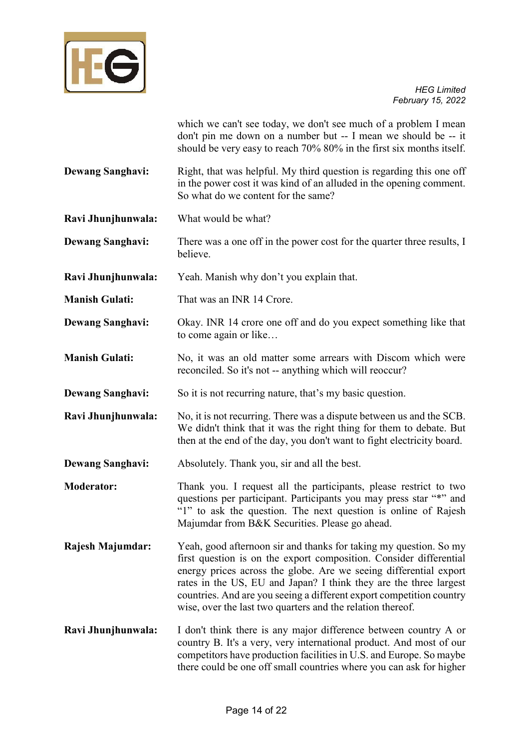

which we can't see today, we don't see much of a problem I mean don't pin me down on a number but -- I mean we should be -- it should be very easy to reach 70% 80% in the first six months itself.

**Dewang Sanghavi:** Right, that was helpful. My third question is regarding this one off in the power cost it was kind of an alluded in the opening comment. So what do we content for the same?

**Ravi Jhunjhunwala:** What would be what?

**Dewang Sanghavi:** There was a one off in the power cost for the quarter three results, I believe.

**Ravi Jhunjhunwala:** Yeah. Manish why don't you explain that.

**Manish Gulati:** That was an INR 14 Crore.

**Dewang Sanghavi:** Okay. INR 14 crore one off and do you expect something like that to come again or like…

**Manish Gulati:** No, it was an old matter some arrears with Discom which were reconciled. So it's not -- anything which will reoccur?

**Dewang Sanghavi:** So it is not recurring nature, that's my basic question.

**Ravi Jhunjhunwala:** No, it is not recurring. There was a dispute between us and the SCB. We didn't think that it was the right thing for them to debate. But then at the end of the day, you don't want to fight electricity board.

**Dewang Sanghavi:** Absolutely. Thank you, sir and all the best.

**Moderator:** Thank you. I request all the participants, please restrict to two questions per participant. Participants you may press star "\*" and "1" to ask the question. The next question is online of Rajesh Majumdar from B&K Securities. Please go ahead.

**Rajesh Majumdar:** Yeah, good afternoon sir and thanks for taking my question. So my first question is on the export composition. Consider differential energy prices across the globe. Are we seeing differential export rates in the US, EU and Japan? I think they are the three largest countries. And are you seeing a different export competition country wise, over the last two quarters and the relation thereof.

**Ravi Jhunjhunwala:** I don't think there is any major difference between country A or country B. It's a very, very international product. And most of our competitors have production facilities in U.S. and Europe. So maybe there could be one off small countries where you can ask for higher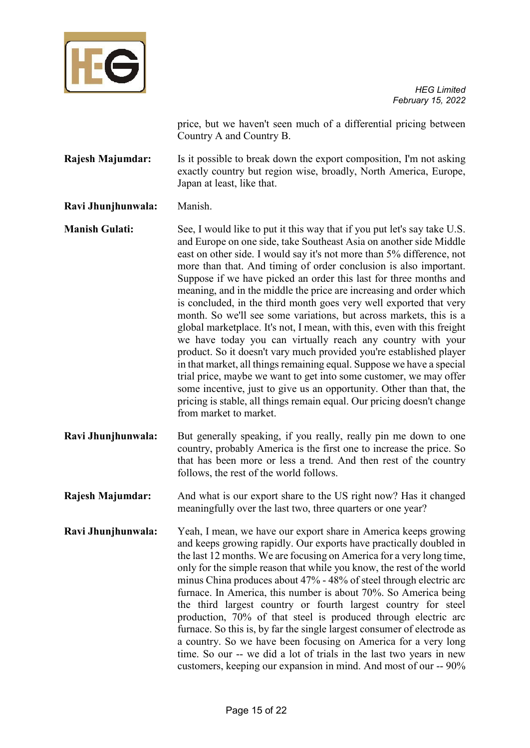

price, but we haven't seen much of a differential pricing between Country A and Country B.

**Rajesh Majumdar:** Is it possible to break down the export composition, I'm not asking exactly country but region wise, broadly, North America, Europe, Japan at least, like that.

# **Ravi Jhunjhunwala:** Manish.

**Manish Gulati:** See, I would like to put it this way that if you put let's say take U.S. and Europe on one side, take Southeast Asia on another side Middle east on other side. I would say it's not more than 5% difference, not more than that. And timing of order conclusion is also important. Suppose if we have picked an order this last for three months and meaning, and in the middle the price are increasing and order which is concluded, in the third month goes very well exported that very month. So we'll see some variations, but across markets, this is a global marketplace. It's not, I mean, with this, even with this freight we have today you can virtually reach any country with your product. So it doesn't vary much provided you're established player in that market, all things remaining equal. Suppose we have a special trial price, maybe we want to get into some customer, we may offer some incentive, just to give us an opportunity. Other than that, the pricing is stable, all things remain equal. Our pricing doesn't change from market to market.

- **Ravi Jhunjhunwala:** But generally speaking, if you really, really pin me down to one country, probably America is the first one to increase the price. So that has been more or less a trend. And then rest of the country follows, the rest of the world follows.
- **Rajesh Majumdar:** And what is our export share to the US right now? Has it changed meaningfully over the last two, three quarters or one year?
- **Ravi Jhunjhunwala:** Yeah, I mean, we have our export share in America keeps growing and keeps growing rapidly. Our exports have practically doubled in the last 12 months. We are focusing on America for a very long time, only for the simple reason that while you know, the rest of the world minus China produces about 47% - 48% of steel through electric arc furnace. In America, this number is about 70%. So America being the third largest country or fourth largest country for steel production, 70% of that steel is produced through electric arc furnace. So this is, by far the single largest consumer of electrode as a country. So we have been focusing on America for a very long time. So our -- we did a lot of trials in the last two years in new customers, keeping our expansion in mind. And most of our -- 90%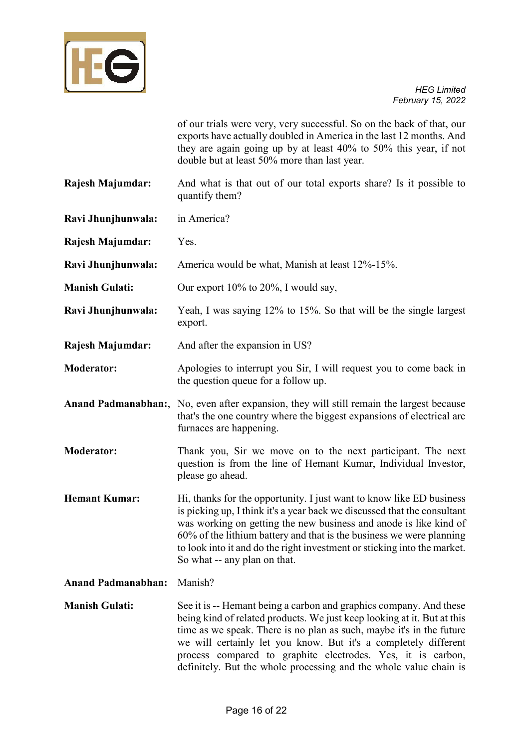

of our trials were very, very successful. So on the back of that, our exports have actually doubled in America in the last 12 months. And they are again going up by at least 40% to 50% this year, if not double but at least 50% more than last year.

**Rajesh Majumdar:** And what is that out of our total exports share? Is it possible to quantify them?

**Ravi Jhunjhunwala:** in America?

**Rajesh Majumdar:** Yes.

**Ravi Jhunjhunwala:** America would be what, Manish at least 12%-15%.

**Manish Gulati:** Our export 10% to 20%, I would say,

- **Ravi Jhunjhunwala:** Yeah, I was saying 12% to 15%. So that will be the single largest export.
- **Rajesh Majumdar:** And after the expansion in US?
- **Moderator:** Apologies to interrupt you Sir, I will request you to come back in the question queue for a follow up.
- **Anand Padmanabhan:**, No, even after expansion, they will still remain the largest because that's the one country where the biggest expansions of electrical arc furnaces are happening.
- **Moderator:** Thank you, Sir we move on to the next participant. The next question is from the line of Hemant Kumar, Individual Investor, please go ahead.
- **Hemant Kumar:** Hi, thanks for the opportunity. I just want to know like ED business is picking up, I think it's a year back we discussed that the consultant was working on getting the new business and anode is like kind of 60% of the lithium battery and that is the business we were planning to look into it and do the right investment or sticking into the market. So what -- any plan on that.
- **Anand Padmanabhan:** Manish?

**Manish Gulati:** See it is -- Hemant being a carbon and graphics company. And these being kind of related products. We just keep looking at it. But at this time as we speak. There is no plan as such, maybe it's in the future we will certainly let you know. But it's a completely different process compared to graphite electrodes. Yes, it is carbon, definitely. But the whole processing and the whole value chain is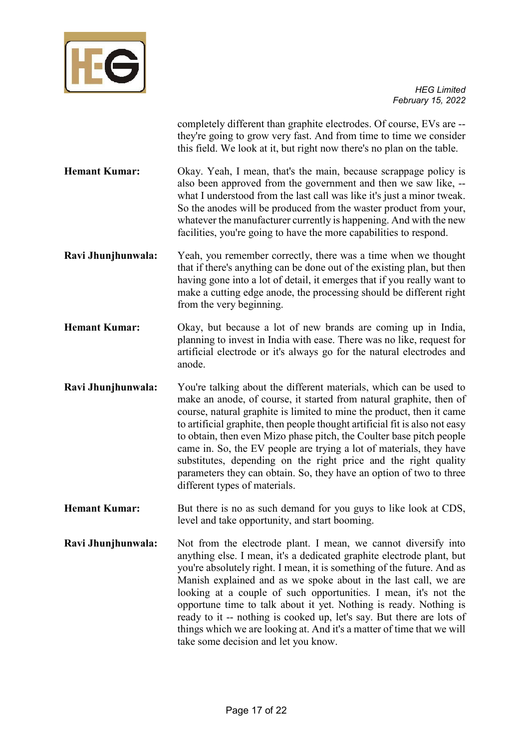

completely different than graphite electrodes. Of course, EVs are - they're going to grow very fast. And from time to time we consider this field. We look at it, but right now there's no plan on the table.

- **Hemant Kumar:** Okay. Yeah, I mean, that's the main, because scrappage policy is also been approved from the government and then we saw like, - what I understood from the last call was like it's just a minor tweak. So the anodes will be produced from the waster product from your, whatever the manufacturer currently is happening. And with the new facilities, you're going to have the more capabilities to respond.
- **Ravi Jhunjhunwala:** Yeah, you remember correctly, there was a time when we thought that if there's anything can be done out of the existing plan, but then having gone into a lot of detail, it emerges that if you really want to make a cutting edge anode, the processing should be different right from the very beginning.
- **Hemant Kumar:** Okay, but because a lot of new brands are coming up in India, planning to invest in India with ease. There was no like, request for artificial electrode or it's always go for the natural electrodes and anode.
- **Ravi Jhunjhunwala:** You're talking about the different materials, which can be used to make an anode, of course, it started from natural graphite, then of course, natural graphite is limited to mine the product, then it came to artificial graphite, then people thought artificial fit is also not easy to obtain, then even Mizo phase pitch, the Coulter base pitch people came in. So, the EV people are trying a lot of materials, they have substitutes, depending on the right price and the right quality parameters they can obtain. So, they have an option of two to three different types of materials.
- **Hemant Kumar:** But there is no as such demand for you guys to like look at CDS, level and take opportunity, and start booming.
- **Ravi Jhunjhunwala:** Not from the electrode plant. I mean, we cannot diversify into anything else. I mean, it's a dedicated graphite electrode plant, but you're absolutely right. I mean, it is something of the future. And as Manish explained and as we spoke about in the last call, we are looking at a couple of such opportunities. I mean, it's not the opportune time to talk about it yet. Nothing is ready. Nothing is ready to it -- nothing is cooked up, let's say. But there are lots of things which we are looking at. And it's a matter of time that we will take some decision and let you know.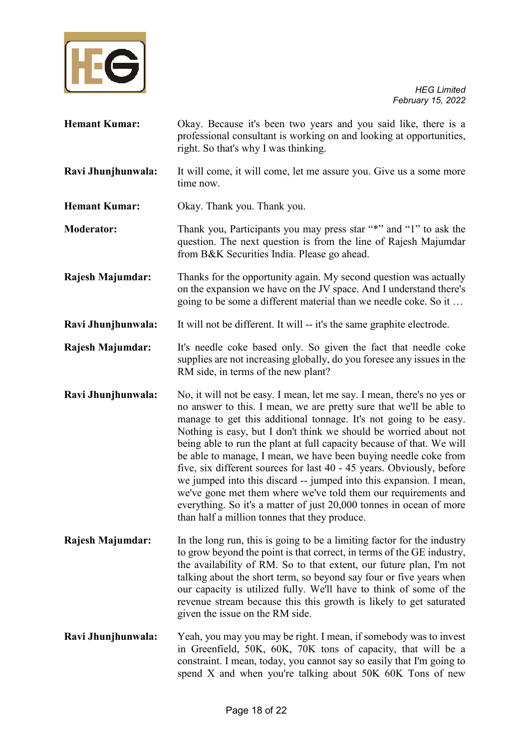

| <b>Hemant Kumar:</b>    | Okay. Because it's been two years and you said like, there is a<br>professional consultant is working on and looking at opportunities,<br>right. So that's why I was thinking.                                                                                                                                                                                                                                                                                                                                                                                                                                                                                                                                                                                               |
|-------------------------|------------------------------------------------------------------------------------------------------------------------------------------------------------------------------------------------------------------------------------------------------------------------------------------------------------------------------------------------------------------------------------------------------------------------------------------------------------------------------------------------------------------------------------------------------------------------------------------------------------------------------------------------------------------------------------------------------------------------------------------------------------------------------|
| Ravi Jhunjhunwala:      | It will come, it will come, let me assure you. Give us a some more<br>time now.                                                                                                                                                                                                                                                                                                                                                                                                                                                                                                                                                                                                                                                                                              |
| <b>Hemant Kumar:</b>    | Okay. Thank you. Thank you.                                                                                                                                                                                                                                                                                                                                                                                                                                                                                                                                                                                                                                                                                                                                                  |
| <b>Moderator:</b>       | Thank you, Participants you may press star "*" and "1" to ask the<br>question. The next question is from the line of Rajesh Majumdar<br>from B&K Securities India. Please go ahead.                                                                                                                                                                                                                                                                                                                                                                                                                                                                                                                                                                                          |
| <b>Rajesh Majumdar:</b> | Thanks for the opportunity again. My second question was actually<br>on the expansion we have on the JV space. And I understand there's<br>going to be some a different material than we needle coke. So it                                                                                                                                                                                                                                                                                                                                                                                                                                                                                                                                                                  |
| Ravi Jhunjhunwala:      | It will not be different. It will -- it's the same graphite electrode.                                                                                                                                                                                                                                                                                                                                                                                                                                                                                                                                                                                                                                                                                                       |
| <b>Rajesh Majumdar:</b> | It's needle coke based only. So given the fact that needle coke<br>supplies are not increasing globally, do you foresee any issues in the<br>RM side, in terms of the new plant?                                                                                                                                                                                                                                                                                                                                                                                                                                                                                                                                                                                             |
| Ravi Jhunjhunwala:      | No, it will not be easy. I mean, let me say. I mean, there's no yes or<br>no answer to this. I mean, we are pretty sure that we'll be able to<br>manage to get this additional tonnage. It's not going to be easy.<br>Nothing is easy, but I don't think we should be worried about not<br>being able to run the plant at full capacity because of that. We will<br>be able to manage, I mean, we have been buying needle coke from<br>five, six different sources for last 40 - 45 years. Obviously, before<br>we jumped into this discard -- jumped into this expansion. I mean,<br>we've gone met them where we've told them our requirements and<br>everything. So it's a matter of just 20,000 tonnes in ocean of more<br>than half a million tonnes that they produce. |
| Rajesh Majumdar:        | In the long run, this is going to be a limiting factor for the industry<br>to grow beyond the point is that correct, in terms of the GE industry,<br>the availability of RM. So to that extent, our future plan, I'm not<br>talking about the short term, so beyond say four or five years when<br>our capacity is utilized fully. We'll have to think of some of the<br>revenue stream because this this growth is likely to get saturated<br>given the issue on the RM side.                                                                                                                                                                                                                                                                                               |
| Ravi Jhunjhunwala:      | Yeah, you may you may be right. I mean, if somebody was to invest<br>in Greenfield, 50K, 60K, 70K tons of capacity, that will be a<br>constraint. I mean, today, you cannot say so easily that I'm going to<br>spend X and when you're talking about 50K 60K Tons of new                                                                                                                                                                                                                                                                                                                                                                                                                                                                                                     |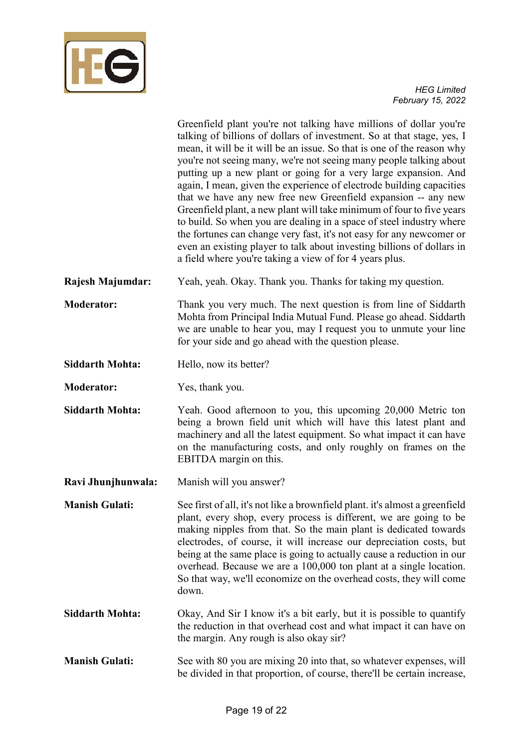

Greenfield plant you're not talking have millions of dollar you're talking of billions of dollars of investment. So at that stage, yes, I mean, it will be it will be an issue. So that is one of the reason why you're not seeing many, we're not seeing many people talking about putting up a new plant or going for a very large expansion. And again, I mean, given the experience of electrode building capacities that we have any new free new Greenfield expansion -- any new Greenfield plant, a new plant will take minimum of four to five years to build. So when you are dealing in a space of steel industry where the fortunes can change very fast, it's not easy for any newcomer or even an existing player to talk about investing billions of dollars in a field where you're taking a view of for 4 years plus.

**Rajesh Majumdar:** Yeah, yeah. Okay. Thank you. Thanks for taking my question.

**Moderator:** Thank you very much. The next question is from line of Siddarth Mohta from Principal India Mutual Fund. Please go ahead. Siddarth we are unable to hear you, may I request you to unmute your line for your side and go ahead with the question please.

- Siddarth Mohta: Hello, now its better?
- **Moderator:** Yes, thank you.
- **Siddarth Mohta:** Yeah. Good afternoon to you, this upcoming 20,000 Metric ton being a brown field unit which will have this latest plant and machinery and all the latest equipment. So what impact it can have on the manufacturing costs, and only roughly on frames on the EBITDA margin on this.
- **Ravi Jhunjhunwala:** Manish will you answer?
- **Manish Gulati:** See first of all, it's not like a brownfield plant. it's almost a greenfield plant, every shop, every process is different, we are going to be making nipples from that. So the main plant is dedicated towards electrodes, of course, it will increase our depreciation costs, but being at the same place is going to actually cause a reduction in our overhead. Because we are a 100,000 ton plant at a single location. So that way, we'll economize on the overhead costs, they will come down.
- **Siddarth Mohta:** Okay, And Sir I know it's a bit early, but it is possible to quantify the reduction in that overhead cost and what impact it can have on the margin. Any rough is also okay sir?

**Manish Gulati:** See with 80 you are mixing 20 into that, so whatever expenses, will be divided in that proportion, of course, there'll be certain increase,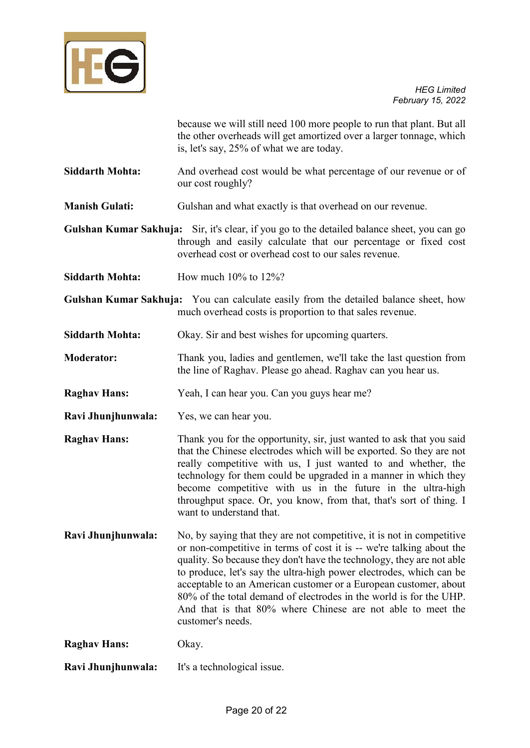

because we will still need 100 more people to run that plant. But all the other overheads will get amortized over a larger tonnage, which is, let's say, 25% of what we are today.

- **Siddarth Mohta:** And overhead cost would be what percentage of our revenue or of our cost roughly?
- **Manish Gulati:** Gulshan and what exactly is that overhead on our revenue.
- **Gulshan Kumar Sakhuja:** Sir, it's clear, if you go to the detailed balance sheet, you can go through and easily calculate that our percentage or fixed cost overhead cost or overhead cost to our sales revenue.
- **Siddarth Mohta:** How much 10% to 12%?
- **Gulshan Kumar Sakhuja:** You can calculate easily from the detailed balance sheet, how much overhead costs is proportion to that sales revenue.
- **Siddarth Mohta:** Okay. Sir and best wishes for upcoming quarters.
- **Moderator:** Thank you, ladies and gentlemen, we'll take the last question from the line of Raghav. Please go ahead. Raghav can you hear us.
- **Raghav Hans:** Yeah, I can hear you. Can you guys hear me?
- **Ravi Jhunjhunwala:** Yes, we can hear you.
- **Raghav Hans:** Thank you for the opportunity, sir, just wanted to ask that you said that the Chinese electrodes which will be exported. So they are not really competitive with us, I just wanted to and whether, the technology for them could be upgraded in a manner in which they become competitive with us in the future in the ultra-high throughput space. Or, you know, from that, that's sort of thing. I want to understand that.
- **Ravi Jhunjhunwala:** No, by saying that they are not competitive, it is not in competitive or non-competitive in terms of cost it is -- we're talking about the quality. So because they don't have the technology, they are not able to produce, let's say the ultra-high power electrodes, which can be acceptable to an American customer or a European customer, about 80% of the total demand of electrodes in the world is for the UHP. And that is that 80% where Chinese are not able to meet the customer's needs.
- **Raghav Hans:** Okay.
- **Ravi Jhunjhunwala:** It's a technological issue.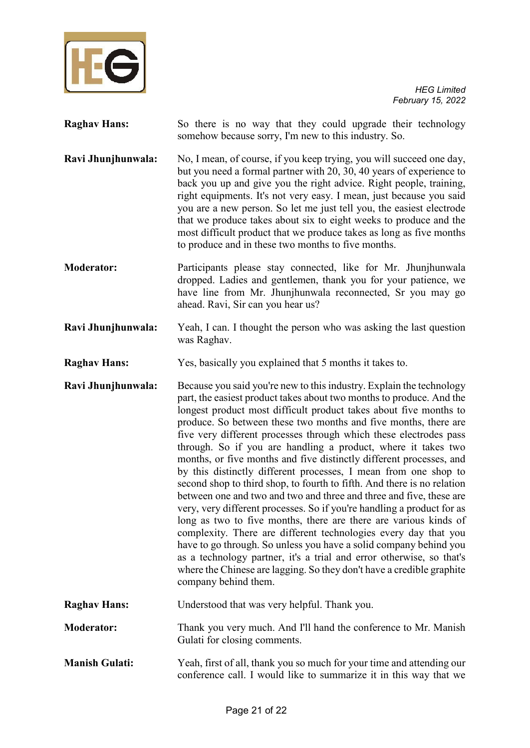

**Raghav Hans:** So there is no way that they could upgrade their technology somehow because sorry, I'm new to this industry. So. **Ravi Jhunjhunwala:** No, I mean, of course, if you keep trying, you will succeed one day, but you need a formal partner with 20, 30, 40 years of experience to back you up and give you the right advice. Right people, training, right equipments. It's not very easy. I mean, just because you said you are a new person. So let me just tell you, the easiest electrode that we produce takes about six to eight weeks to produce and the most difficult product that we produce takes as long as five months to produce and in these two months to five months. **Moderator:** Participants please stay connected, like for Mr. Jhunjhunwala dropped. Ladies and gentlemen, thank you for your patience, we have line from Mr. Jhunjhunwala reconnected, Sr you may go ahead. Ravi, Sir can you hear us? **Ravi Jhunjhunwala:** Yeah, I can. I thought the person who was asking the last question was Raghav.

**Raghav Hans:** Yes, basically you explained that 5 months it takes to.

**Ravi Jhunjhunwala:** Because you said you're new to this industry. Explain the technology part, the easiest product takes about two months to produce. And the longest product most difficult product takes about five months to produce. So between these two months and five months, there are five very different processes through which these electrodes pass through. So if you are handling a product, where it takes two months, or five months and five distinctly different processes, and by this distinctly different processes, I mean from one shop to second shop to third shop, to fourth to fifth. And there is no relation between one and two and two and three and three and five, these are very, very different processes. So if you're handling a product for as long as two to five months, there are there are various kinds of complexity. There are different technologies every day that you have to go through. So unless you have a solid company behind you as a technology partner, it's a trial and error otherwise, so that's where the Chinese are lagging. So they don't have a credible graphite company behind them.

**Raghav Hans:** Understood that was very helpful. Thank you.

**Moderator:** Thank you very much. And I'll hand the conference to Mr. Manish Gulati for closing comments.

**Manish Gulati:** Yeah, first of all, thank you so much for your time and attending our conference call. I would like to summarize it in this way that we